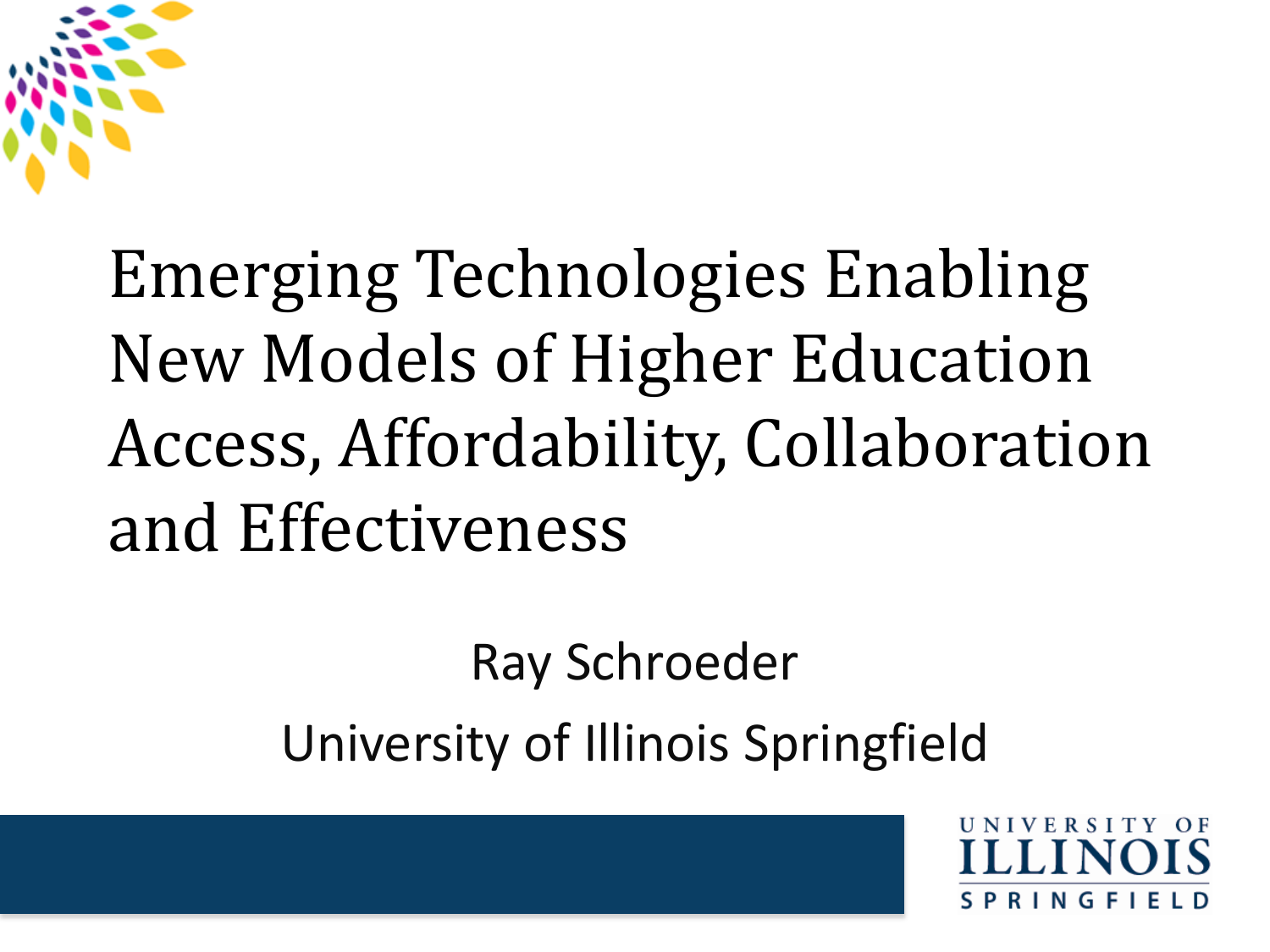

#### Emerging Technologies Enabling New Models of Higher Education Access, Affordability, Collaboration and Effectiveness

Ray Schroeder University of Illinois Springfield

RINGF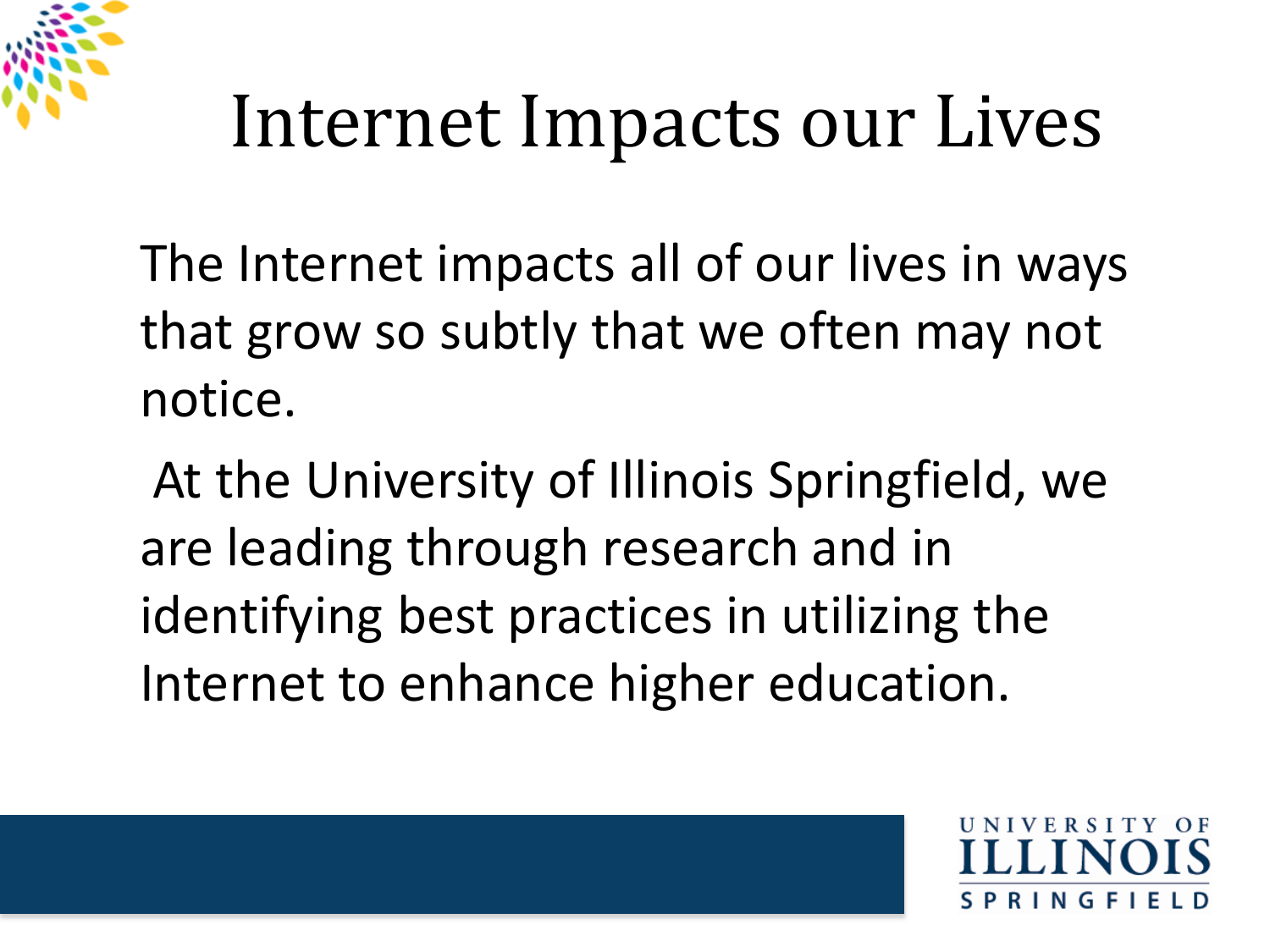

## Internet Impacts our Lives

The Internet impacts all of our lives in ways that grow so subtly that we often may not notice.

At the University of Illinois Springfield, we are leading through research and in identifying best practices in utilizing the Internet to enhance higher education.

**INGF**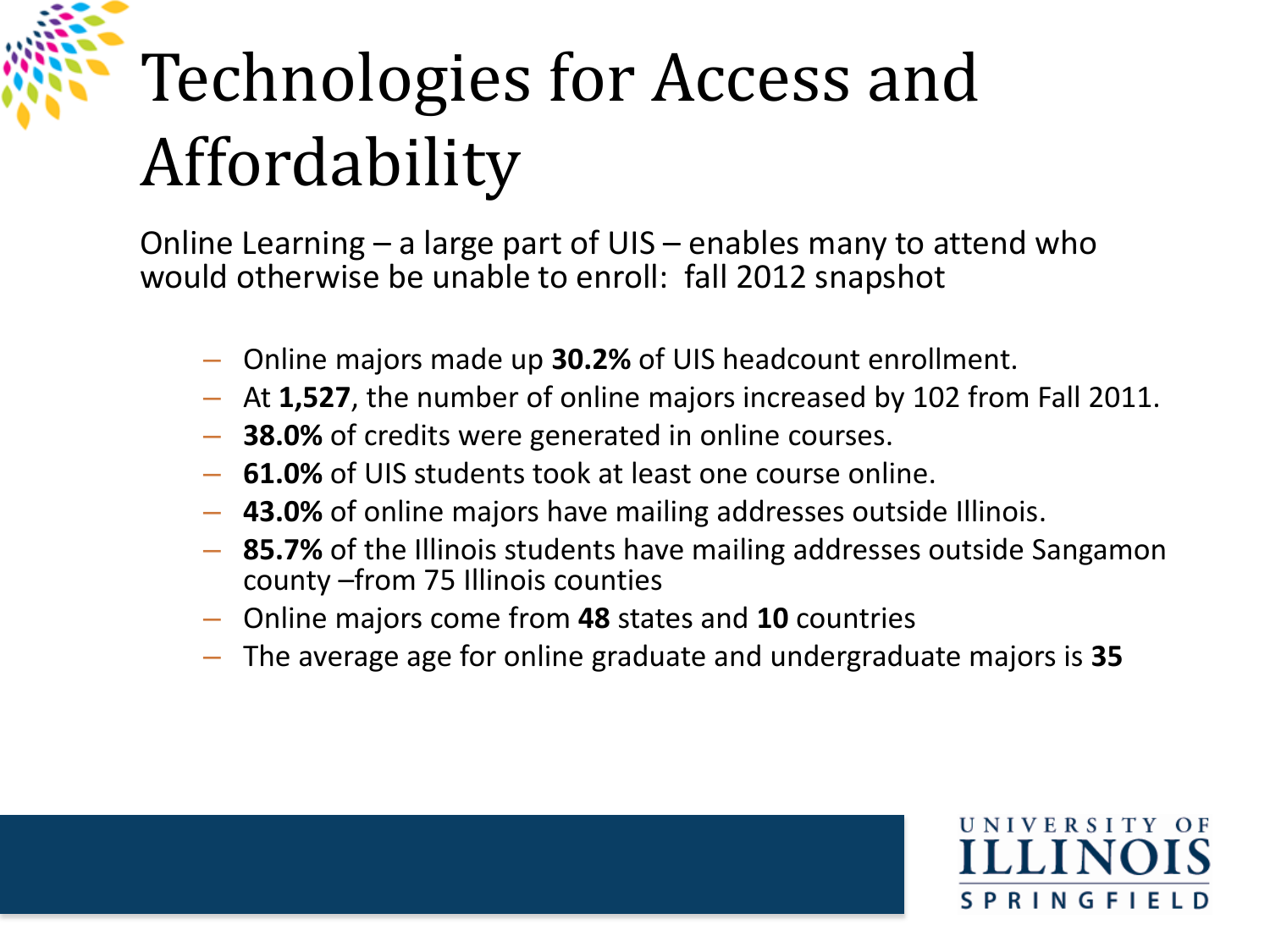## Technologies for Access and Affordability

Online Learning – a large part of UIS – enables many to attend who would otherwise be unable to enroll: fall 2012 snapshot

- Online majors made up **30.2%** of UIS headcount enrollment.
- At **1,527**, the number of online majors increased by 102 from Fall 2011.
- **38.0%** of credits were generated in online courses.
- **61.0%** of UIS students took at least one course online.
- **43.0%** of online majors have mailing addresses outside Illinois.
- **85.7%** of the Illinois students have mailing addresses outside Sangamon county –from 75 Illinois counties
- Online majors come from **48** states and **10** countries
- The average age for online graduate and undergraduate majors is **35**

U N I V E R S I T Y - O F **SPRINGFIE**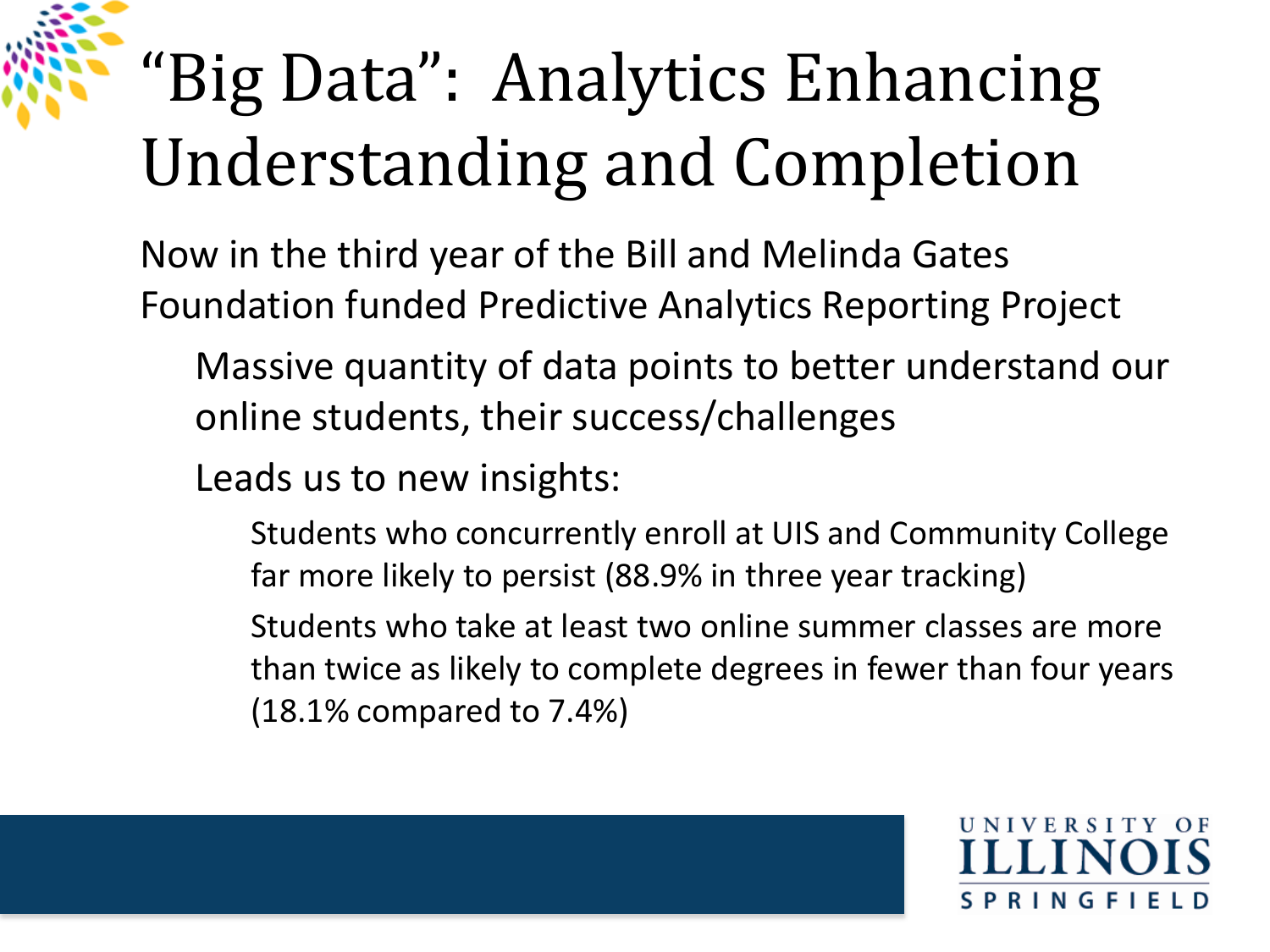## "Big Data": Analytics Enhancing Understanding and Completion

Now in the third year of the Bill and Melinda Gates Foundation funded Predictive Analytics Reporting Project

Massive quantity of data points to better understand our online students, their success/challenges

Leads us to new insights:

- Students who concurrently enroll at UIS and Community College far more likely to persist (88.9% in three year tracking)
- Students who take at least two online summer classes are more than twice as likely to complete degrees in fewer than four years (18.1% compared to 7.4%)

**RINGF**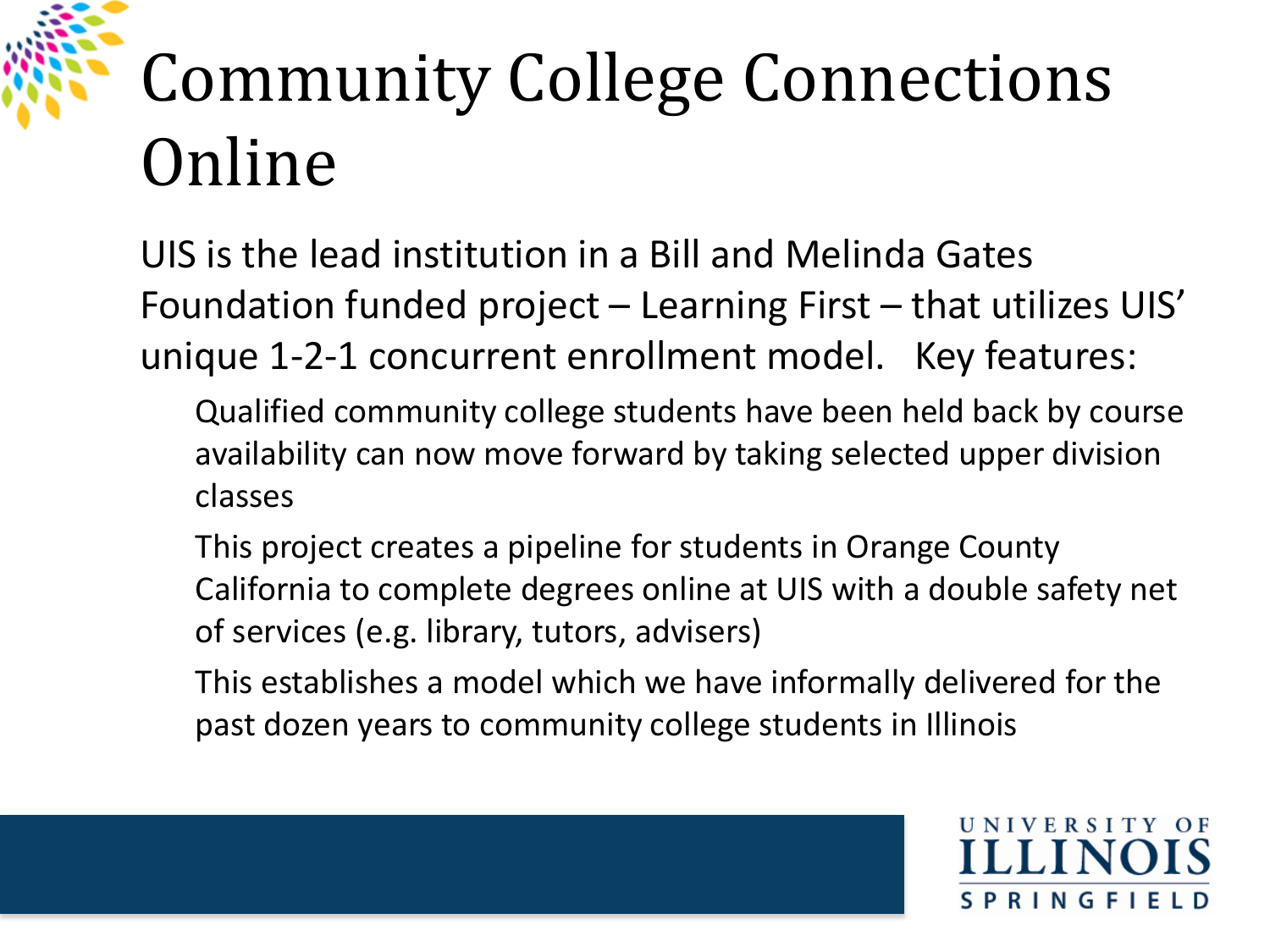# Community College Connections Online

UIS is the lead institution in a Bill and Melinda Gates Foundation funded project – Learning First – that utilizes UIS' unique 1-2-1 concurrent enrollment model. Key features:

- Qualified community college students have been held back by course availability can now move forward by taking selected upper division classes
- This project creates a pipeline for students in Orange County California to complete degrees online at UIS with a double safety net of services (e.g. library, tutors, advisers)
- This establishes a model which we have informally delivered for the past dozen years to community college students in Illinois

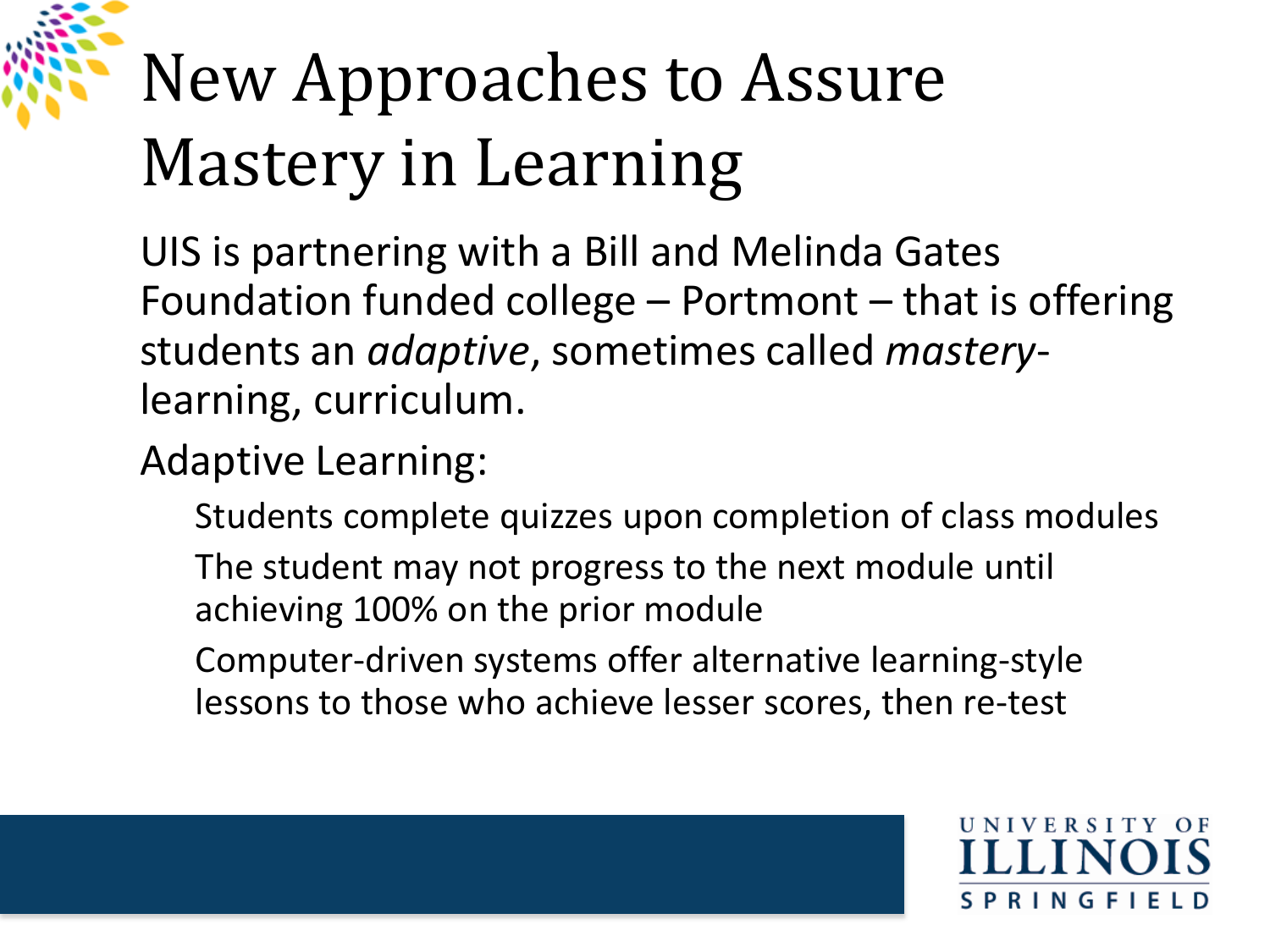# New Approaches to Assure Mastery in Learning

UIS is partnering with a Bill and Melinda Gates Foundation funded college – Portmont – that is offering students an *adaptive*, sometimes called *mastery*learning, curriculum.

#### Adaptive Learning:

Students complete quizzes upon completion of class modules

- The student may not progress to the next module until achieving 100% on the prior module
- Computer-driven systems offer alternative learning-style lessons to those who achieve lesser scores, then re-test

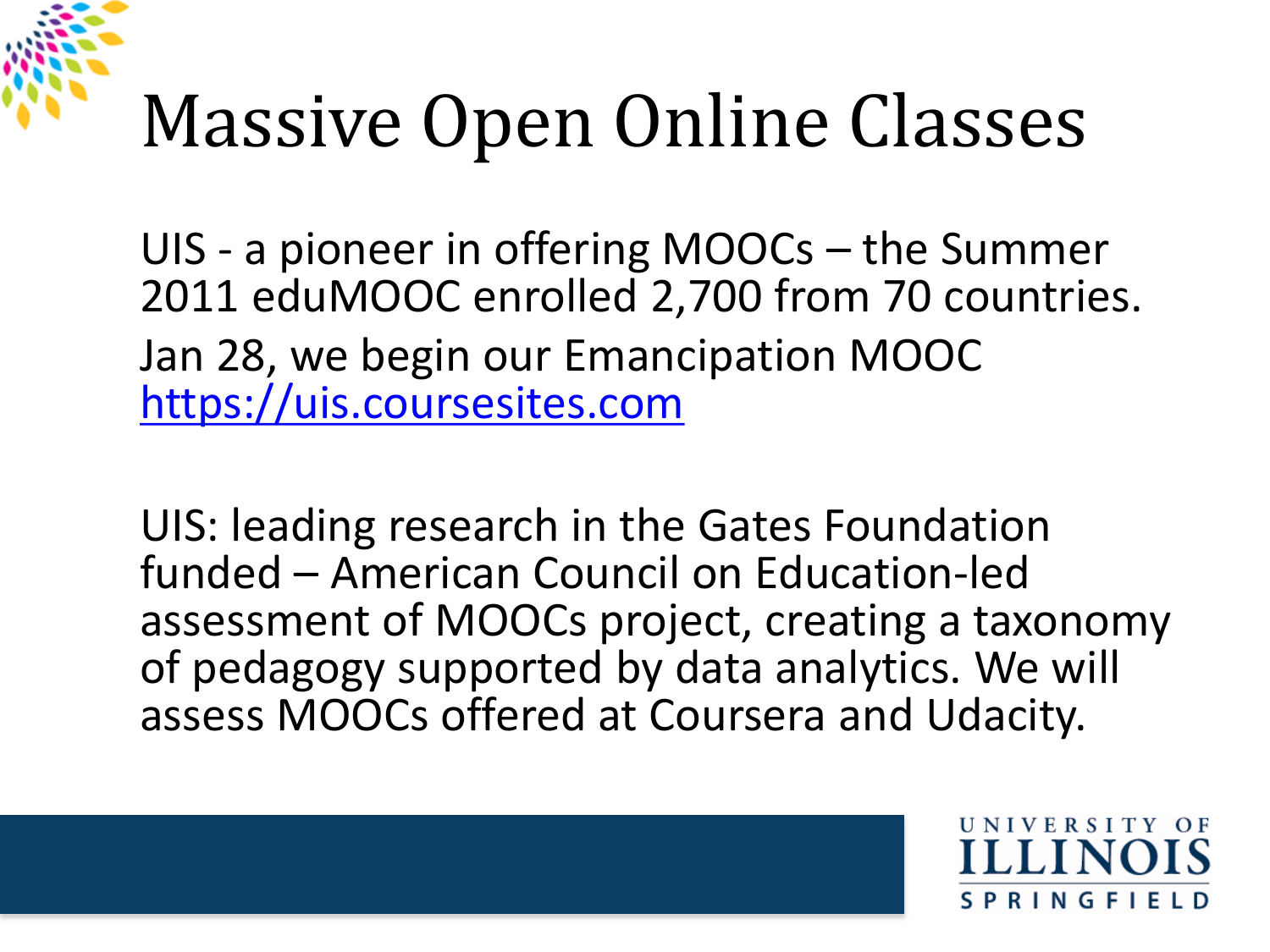# Massive Open Online Classes

UIS - a pioneer in offering MOOCs – the Summer 2011 eduMOOC enrolled 2,700 from 70 countries. Jan 28, we begin our Emancipation MOOC [https://uis.coursesites.com](https://uis.coursesites.com/)

UIS: leading research in the Gates Foundation funded – American Council on Education-led assessment of MOOCs project, creating a taxonomy of pedagogy supported by data analytics. We will assess MOOCs offered at Coursera and Udacity.

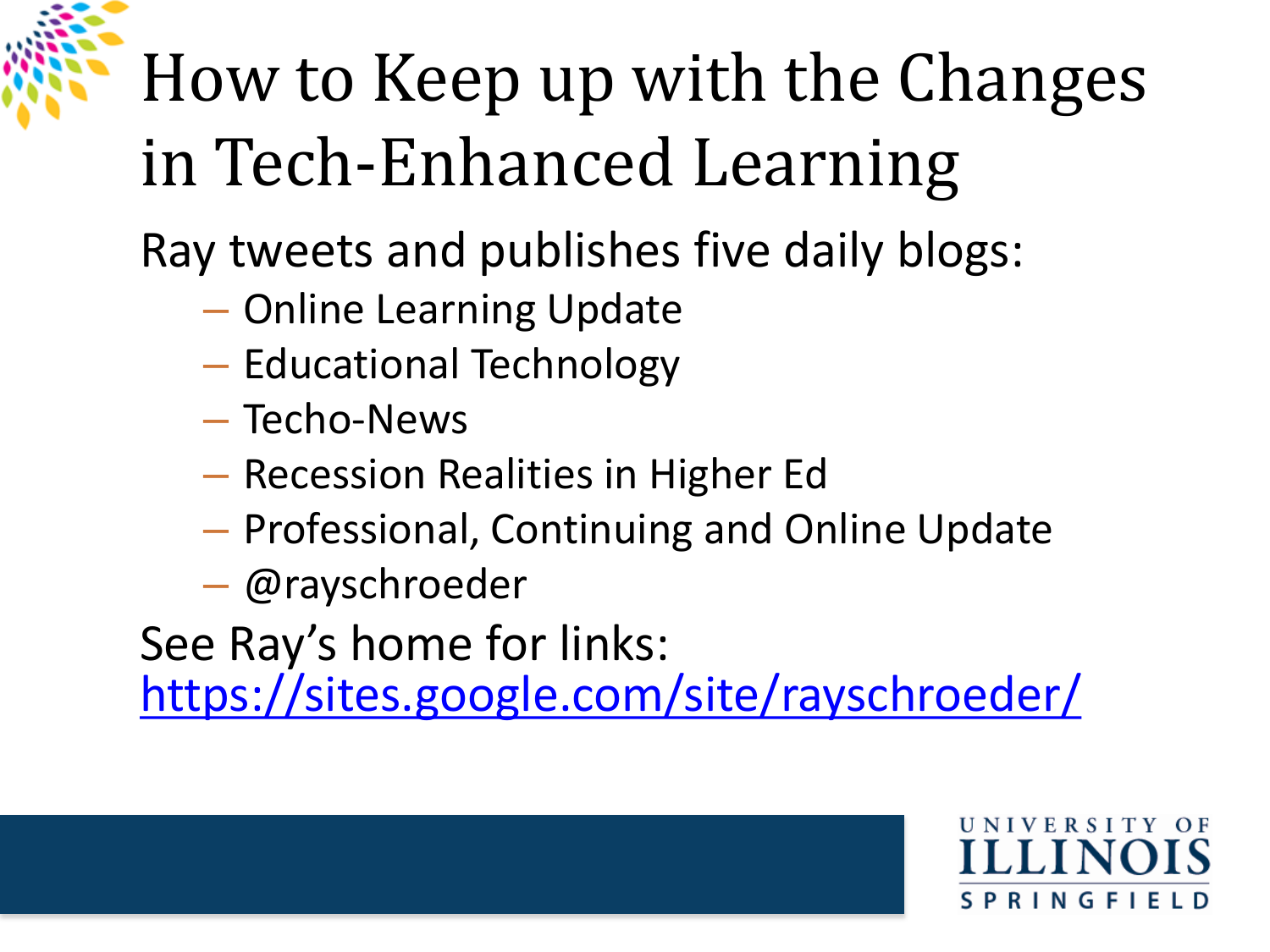## How to Keep up with the Changes in Tech-Enhanced Learning

Ray tweets and publishes five daily blogs:

- Online Learning Update
- Educational Technology
- Techo-News
- Recession Realities in Higher Ed
- Professional, Continuing and Online Update
- @rayschroeder

See Ray's home for links:

<https://sites.google.com/site/rayschroeder/>

**RINGFIE**